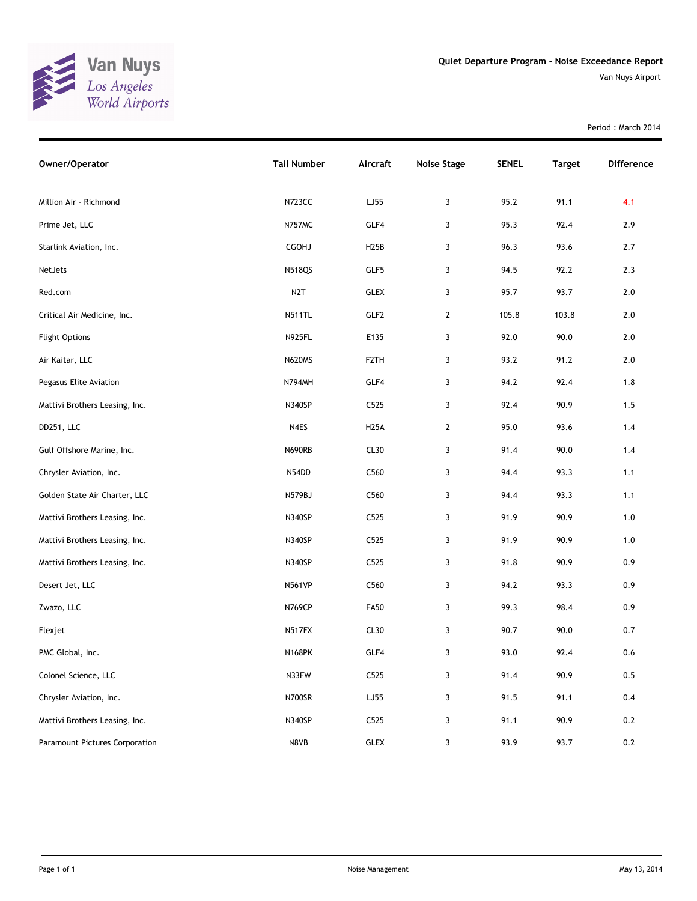

Van Nuys Airport

Period : March 2014

| Owner/Operator                 | <b>Tail Number</b> | Aircraft          | <b>Noise Stage</b> | <b>SENEL</b> | <b>Target</b> | Difference |
|--------------------------------|--------------------|-------------------|--------------------|--------------|---------------|------------|
| Million Air - Richmond         | N723CC             | LJ55              | 3                  | 95.2         | 91.1          | 4.1        |
| Prime Jet, LLC                 | N757MC             | GLF4              | 3                  | 95.3         | 92.4          | 2.9        |
| Starlink Aviation, Inc.        | CGOHJ              | H <sub>25</sub> B | 3                  | 96.3         | 93.6          | 2.7        |
| NetJets                        | <b>N518QS</b>      | GLF5              | 3                  | 94.5         | 92.2          | 2.3        |
| Red.com                        | N <sub>2</sub> T   | GLEX              | 3                  | 95.7         | 93.7          | $2.0\,$    |
| Critical Air Medicine, Inc.    | <b>N511TL</b>      | GLF <sub>2</sub>  | $\overline{2}$     | 105.8        | 103.8         | $2.0$      |
| <b>Flight Options</b>          | <b>N925FL</b>      | E135              | 3                  | 92.0         | 90.0          | $2.0$      |
| Air Kaitar, LLC                | <b>N620MS</b>      | F <sub>2</sub> TH | 3                  | 93.2         | 91.2          | 2.0        |
| Pegasus Elite Aviation         | N794MH             | GLF4              | 3                  | 94.2         | 92.4          | 1.8        |
| Mattivi Brothers Leasing, Inc. | N340SP             | C525              | 3                  | 92.4         | 90.9          | 1.5        |
| DD251, LLC                     | N4ES               | <b>H25A</b>       | $\overline{2}$     | 95.0         | 93.6          | 1.4        |
| Gulf Offshore Marine, Inc.     | <b>N690RB</b>      | CL30              | 3                  | 91.4         | 90.0          | 1.4        |
| Chrysler Aviation, Inc.        | N54DD              | C560              | 3                  | 94.4         | 93.3          | 1.1        |
| Golden State Air Charter, LLC  | N579BJ             | C560              | 3                  | 94.4         | 93.3          | 1.1        |
| Mattivi Brothers Leasing, Inc. | N340SP             | C525              | 3                  | 91.9         | 90.9          | $1.0$      |
| Mattivi Brothers Leasing, Inc. | N340SP             | C525              | 3                  | 91.9         | 90.9          | $1.0$      |
| Mattivi Brothers Leasing, Inc. | N340SP             | C525              | 3                  | 91.8         | 90.9          | 0.9        |
| Desert Jet, LLC                | <b>N561VP</b>      | C560              | 3                  | 94.2         | 93.3          | 0.9        |
| Zwazo, LLC                     | <b>N769CP</b>      | <b>FA50</b>       | 3                  | 99.3         | 98.4          | 0.9        |
| Flexjet                        | N517FX             | CL30              | 3                  | 90.7         | 90.0          | 0.7        |
| PMC Global, Inc.               | <b>N168PK</b>      | GLF4              | 3                  | 93.0         | 92.4          | 0.6        |
| Colonel Science, LLC           | N33FW              | C525              | 3                  | 91.4         | 90.9          | 0.5        |
| Chrysler Aviation, Inc.        | <b>N700SR</b>      | LJ55              | 3                  | 91.5         | 91.1          | 0.4        |
| Mattivi Brothers Leasing, Inc. | N340SP             | C525              | 3                  | 91.1         | 90.9          | 0.2        |
| Paramount Pictures Corporation | N8VB               | GLEX              | 3                  | 93.9         | 93.7          | 0.2        |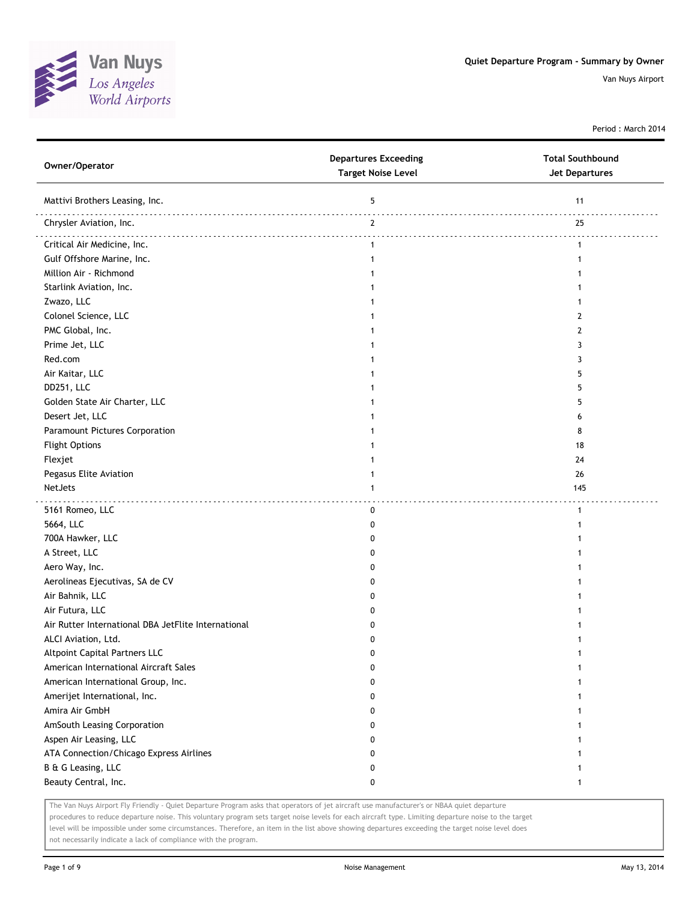

Period : March 2014

| Owner/Operator                                      | <b>Departures Exceeding</b><br><b>Target Noise Level</b> | <b>Total Southbound</b><br><b>Jet Departures</b> |
|-----------------------------------------------------|----------------------------------------------------------|--------------------------------------------------|
| Mattivi Brothers Leasing, Inc.                      | 5                                                        | 11                                               |
| Chrysler Aviation, Inc.                             | $\overline{2}$                                           | 25                                               |
| Critical Air Medicine, Inc.                         | $\mathbf{1}$                                             | .<br>$\mathbf{1}$                                |
| Gulf Offshore Marine, Inc.                          | $\mathbf{1}$                                             | 1                                                |
| Million Air - Richmond                              | 1                                                        |                                                  |
| Starlink Aviation, Inc.                             | 1                                                        |                                                  |
| Zwazo, LLC                                          |                                                          |                                                  |
| Colonel Science, LLC                                |                                                          | 2                                                |
| PMC Global, Inc.                                    |                                                          | 2                                                |
| Prime Jet, LLC                                      |                                                          | 3                                                |
| Red.com                                             |                                                          | 3                                                |
| Air Kaitar, LLC                                     |                                                          | 5                                                |
| DD251, LLC                                          |                                                          | 5                                                |
| Golden State Air Charter, LLC                       | 1                                                        | 5                                                |
| Desert Jet, LLC                                     | 1                                                        | 6                                                |
| Paramount Pictures Corporation                      | 1                                                        | 8                                                |
| <b>Flight Options</b>                               |                                                          | 18                                               |
| Flexjet                                             |                                                          | 24                                               |
| Pegasus Elite Aviation                              | 1                                                        | 26                                               |
| NetJets                                             | 1                                                        | 145                                              |
|                                                     |                                                          |                                                  |
| 5161 Romeo, LLC                                     | 0                                                        | $\mathbf{1}$                                     |
| 5664, LLC                                           | 0                                                        | 1                                                |
| 700A Hawker, LLC                                    | 0                                                        |                                                  |
| A Street, LLC                                       | 0                                                        |                                                  |
| Aero Way, Inc.                                      | 0                                                        |                                                  |
| Aerolineas Ejecutivas, SA de CV                     | 0                                                        |                                                  |
| Air Bahnik, LLC                                     | 0                                                        |                                                  |
| Air Futura, LLC                                     | 0                                                        |                                                  |
| Air Rutter International DBA JetFlite International | 0                                                        |                                                  |
| ALCI Aviation, Ltd.                                 | 0                                                        |                                                  |
| <b>Altpoint Capital Partners LLC</b>                | 0                                                        |                                                  |
| American International Aircraft Sales               | 0                                                        | 1                                                |
| American International Group, Inc.                  | 0                                                        | 1                                                |
| Amerijet International, Inc.                        | 0                                                        | 1                                                |
| Amira Air GmbH                                      | 0                                                        |                                                  |
| AmSouth Leasing Corporation                         | 0                                                        |                                                  |
| Aspen Air Leasing, LLC                              | 0                                                        |                                                  |
| ATA Connection/Chicago Express Airlines             | 0                                                        |                                                  |
| B & G Leasing, LLC                                  | 0                                                        |                                                  |
| Beauty Central, Inc.                                | 0                                                        |                                                  |
|                                                     |                                                          |                                                  |

The Van Nuys Airport Fly Friendly - Quiet Departure Program asks that operators of jet aircraft use manufacturer's or NBAA quiet departure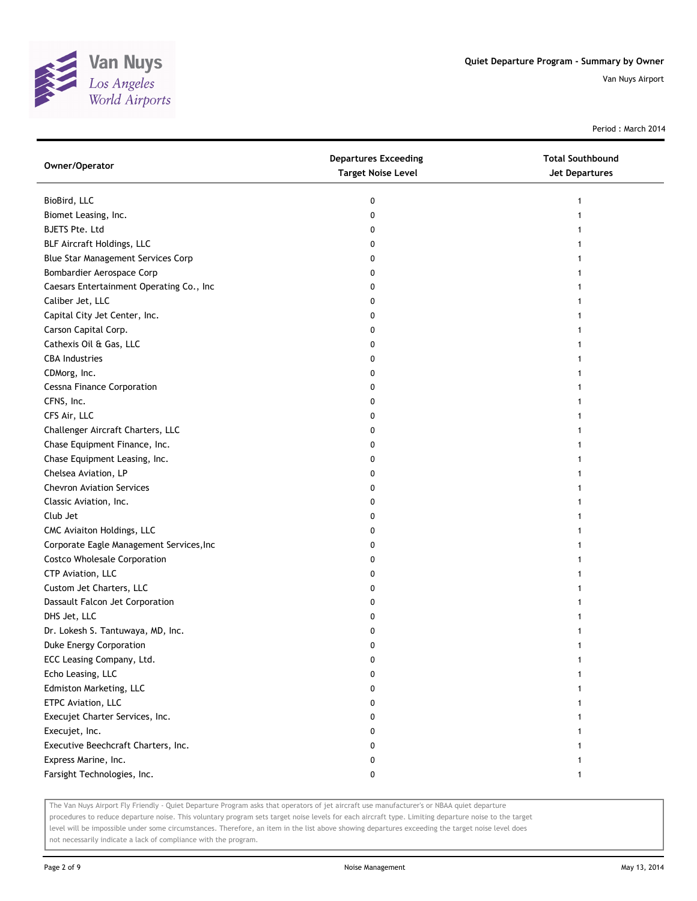

Period : March 2014

| Owner/Operator                           | <b>Departures Exceeding</b><br><b>Target Noise Level</b> | <b>Total Southbound</b><br>Jet Departures |
|------------------------------------------|----------------------------------------------------------|-------------------------------------------|
| BioBird, LLC                             | 0                                                        | 1                                         |
| Biomet Leasing, Inc.                     | 0                                                        |                                           |
| <b>BJETS Pte. Ltd</b>                    | 0                                                        |                                           |
| BLF Aircraft Holdings, LLC               | 0                                                        |                                           |
| Blue Star Management Services Corp       | 0                                                        |                                           |
| Bombardier Aerospace Corp                | 0                                                        |                                           |
| Caesars Entertainment Operating Co., Inc | 0                                                        |                                           |
| Caliber Jet, LLC                         | 0                                                        | 1                                         |
| Capital City Jet Center, Inc.            | 0                                                        | 1                                         |
| Carson Capital Corp.                     | 0                                                        |                                           |
| Cathexis Oil & Gas, LLC                  | 0                                                        |                                           |
| <b>CBA Industries</b>                    | 0                                                        |                                           |
| CDMorg, Inc.                             | 0                                                        |                                           |
| <b>Cessna Finance Corporation</b>        | 0                                                        |                                           |
| CFNS, Inc.                               | 0                                                        |                                           |
| CFS Air, LLC                             | 0                                                        |                                           |
| Challenger Aircraft Charters, LLC        | 0                                                        |                                           |
| Chase Equipment Finance, Inc.            | 0                                                        | 1                                         |
| Chase Equipment Leasing, Inc.            | 0                                                        | 1                                         |
| Chelsea Aviation, LP                     | 0                                                        |                                           |
| <b>Chevron Aviation Services</b>         | 0                                                        |                                           |
| Classic Aviation, Inc.                   | 0                                                        |                                           |
| Club Jet                                 | 0                                                        |                                           |
| CMC Aviaiton Holdings, LLC               | 0                                                        |                                           |
| Corporate Eagle Management Services, Inc | 0                                                        |                                           |
| <b>Costco Wholesale Corporation</b>      | 0                                                        |                                           |
| CTP Aviation, LLC                        | 0                                                        |                                           |
| Custom Jet Charters, LLC                 | 0                                                        | 1                                         |
| Dassault Falcon Jet Corporation          | 0                                                        |                                           |
| DHS Jet, LLC                             | 0                                                        |                                           |
| Dr. Lokesh S. Tantuwaya, MD, Inc.        | 0                                                        |                                           |
| Duke Energy Corporation                  | 0                                                        |                                           |
| ECC Leasing Company, Ltd.                | U                                                        |                                           |
| Echo Leasing, LLC                        | 0                                                        |                                           |
| Edmiston Marketing, LLC                  | 0                                                        |                                           |
| ETPC Aviation, LLC                       | 0                                                        |                                           |
| Execujet Charter Services, Inc.          | 0                                                        |                                           |
| Execujet, Inc.                           | 0                                                        |                                           |
| Executive Beechcraft Charters, Inc.      | 0                                                        |                                           |
| Express Marine, Inc.                     | 0                                                        |                                           |
| Farsight Technologies, Inc.              | 0                                                        | 1                                         |

The Van Nuys Airport Fly Friendly - Quiet Departure Program asks that operators of jet aircraft use manufacturer's or NBAA quiet departure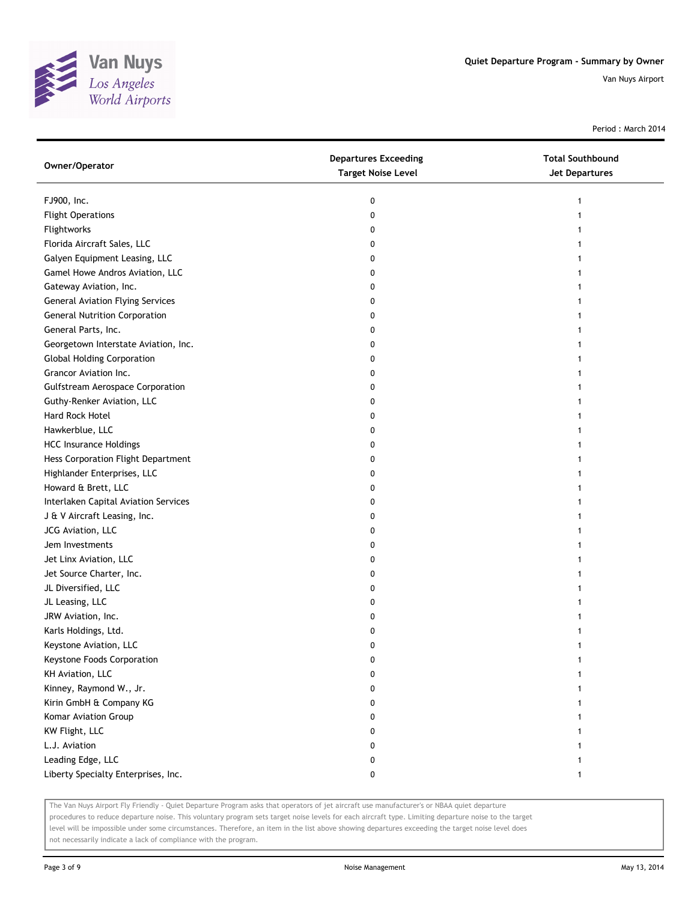

Period : March 2014

| Owner/Operator                          | <b>Departures Exceeding</b><br><b>Target Noise Level</b> | <b>Total Southbound</b><br>Jet Departures |
|-----------------------------------------|----------------------------------------------------------|-------------------------------------------|
| FJ900, Inc.                             | 0                                                        |                                           |
| <b>Flight Operations</b>                | 0                                                        |                                           |
| Flightworks                             | 0                                                        |                                           |
| Florida Aircraft Sales, LLC             | 0                                                        |                                           |
| Galyen Equipment Leasing, LLC           | 0                                                        |                                           |
| Gamel Howe Andros Aviation, LLC         | 0                                                        |                                           |
| Gateway Aviation, Inc.                  | 0                                                        |                                           |
| <b>General Aviation Flying Services</b> | 0                                                        |                                           |
| <b>General Nutrition Corporation</b>    | 0                                                        |                                           |
| General Parts, Inc.                     | 0                                                        |                                           |
| Georgetown Interstate Aviation, Inc.    | 0                                                        |                                           |
| <b>Global Holding Corporation</b>       | 0                                                        |                                           |
| Grancor Aviation Inc.                   | 0                                                        |                                           |
| <b>Gulfstream Aerospace Corporation</b> | 0                                                        |                                           |
| Guthy-Renker Aviation, LLC              | 0                                                        |                                           |
| Hard Rock Hotel                         | 0                                                        |                                           |
| Hawkerblue, LLC                         | 0                                                        |                                           |
| <b>HCC Insurance Holdings</b>           | 0                                                        |                                           |
| Hess Corporation Flight Department      | 0                                                        |                                           |
| Highlander Enterprises, LLC             | 0                                                        |                                           |
| Howard & Brett, LLC                     | 0                                                        |                                           |
| Interlaken Capital Aviation Services    | 0                                                        |                                           |
| J & V Aircraft Leasing, Inc.            | 0                                                        |                                           |
| JCG Aviation, LLC                       | 0                                                        |                                           |
| Jem Investments                         | 0                                                        |                                           |
| Jet Linx Aviation, LLC                  | 0                                                        |                                           |
| Jet Source Charter, Inc.                | 0                                                        |                                           |
| JL Diversified, LLC                     | 0                                                        |                                           |
| JL Leasing, LLC                         | 0                                                        |                                           |
| JRW Aviation, Inc.                      | 0                                                        |                                           |
| Karls Holdings, Ltd.                    | 0                                                        |                                           |
| Keystone Aviation, LLC                  | 0                                                        |                                           |
| Keystone Foods Corporation              | 0                                                        |                                           |
| KH Aviation, LLC                        | 0                                                        |                                           |
| Kinney, Raymond W., Jr.                 | 0                                                        |                                           |
| Kirin GmbH & Company KG                 | 0                                                        |                                           |
| Komar Aviation Group                    | 0                                                        |                                           |
| KW Flight, LLC                          | 0                                                        |                                           |
| L.J. Aviation                           | 0                                                        |                                           |
| Leading Edge, LLC                       | 0                                                        |                                           |
| Liberty Specialty Enterprises, Inc.     | 0                                                        | 1                                         |
|                                         |                                                          |                                           |

The Van Nuys Airport Fly Friendly - Quiet Departure Program asks that operators of jet aircraft use manufacturer's or NBAA quiet departure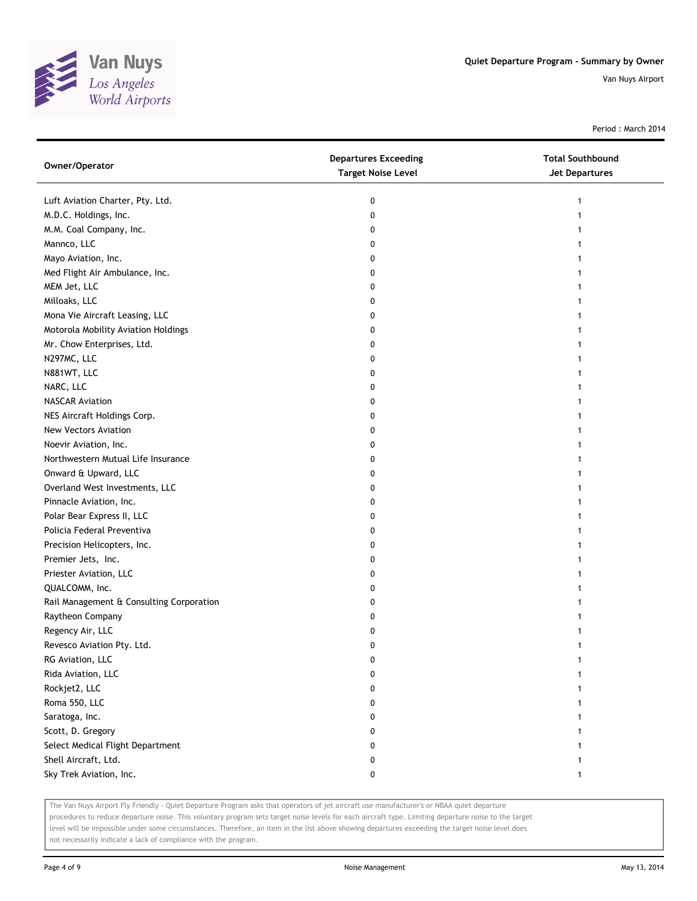

Period : March 2014

| Owner/Operator                           | <b>Departures Exceeding</b><br><b>Target Noise Level</b> | <b>Total Southbound</b><br><b>Jet Departures</b> |
|------------------------------------------|----------------------------------------------------------|--------------------------------------------------|
| Luft Aviation Charter, Pty. Ltd.         | 0                                                        |                                                  |
| M.D.C. Holdings, Inc.                    | 0                                                        |                                                  |
| M.M. Coal Company, Inc.                  | 0                                                        |                                                  |
| Mannco, LLC                              | 0                                                        |                                                  |
| Mayo Aviation, Inc.                      | 0                                                        |                                                  |
| Med Flight Air Ambulance, Inc.           | 0                                                        |                                                  |
| MEM Jet, LLC                             | 0                                                        |                                                  |
| Milloaks, LLC                            | 0                                                        |                                                  |
| Mona Vie Aircraft Leasing, LLC           | 0                                                        |                                                  |
| Motorola Mobility Aviation Holdings      | 0                                                        |                                                  |
| Mr. Chow Enterprises, Ltd.               | 0                                                        |                                                  |
| N297MC, LLC                              | 0                                                        |                                                  |
| N881WT, LLC                              | 0                                                        |                                                  |
| NARC, LLC                                | 0                                                        |                                                  |
| <b>NASCAR Aviation</b>                   | 0                                                        |                                                  |
| NES Aircraft Holdings Corp.              | 0                                                        |                                                  |
| New Vectors Aviation                     | 0                                                        |                                                  |
| Noevir Aviation, Inc.                    | 0                                                        |                                                  |
| Northwestern Mutual Life Insurance       | 0                                                        |                                                  |
| Onward & Upward, LLC                     | 0                                                        |                                                  |
| Overland West Investments, LLC           | 0                                                        |                                                  |
| Pinnacle Aviation, Inc.                  | 0                                                        |                                                  |
| Polar Bear Express II, LLC               | 0                                                        |                                                  |
| Policia Federal Preventiva               | 0                                                        |                                                  |
| Precision Helicopters, Inc.              | 0                                                        |                                                  |
| Premier Jets, Inc.                       | 0                                                        |                                                  |
| Priester Aviation, LLC                   | 0                                                        |                                                  |
| QUALCOMM, Inc.                           | 0                                                        |                                                  |
| Rail Management & Consulting Corporation | 0                                                        |                                                  |
| Raytheon Company                         | 0                                                        |                                                  |
| Regency Air, LLC                         | 0                                                        |                                                  |
| Revesco Aviation Pty. Ltd.               | 0                                                        |                                                  |
| RG Aviation, LLC                         | 0                                                        |                                                  |
| Rida Aviation, LLC                       | 0                                                        |                                                  |
| Rockjet2, LLC                            | 0                                                        |                                                  |
| Roma 550, LLC                            | 0                                                        |                                                  |
| Saratoga, Inc.                           | 0                                                        |                                                  |
| Scott, D. Gregory                        | 0                                                        |                                                  |
| Select Medical Flight Department         | 0                                                        |                                                  |
| Shell Aircraft, Ltd.                     | 0                                                        |                                                  |
| Sky Trek Aviation, Inc.                  | 0                                                        | 1                                                |

The Van Nuys Airport Fly Friendly - Quiet Departure Program asks that operators of jet aircraft use manufacturer's or NBAA quiet departure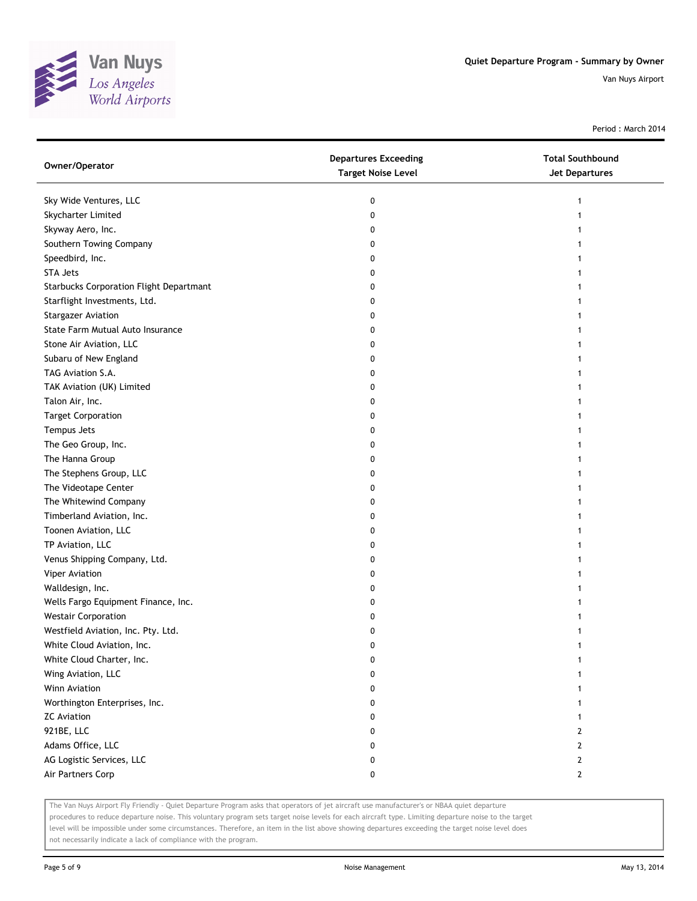

Period : March 2014

| Owner/Operator                          | <b>Departures Exceeding</b><br><b>Target Noise Level</b> | <b>Total Southbound</b><br>Jet Departures |
|-----------------------------------------|----------------------------------------------------------|-------------------------------------------|
| Sky Wide Ventures, LLC                  | 0                                                        | 1                                         |
| Skycharter Limited                      | 0                                                        |                                           |
| Skyway Aero, Inc.                       | 0                                                        |                                           |
| Southern Towing Company                 | 0                                                        |                                           |
| Speedbird, Inc.                         | 0                                                        |                                           |
| STA Jets                                | 0                                                        |                                           |
| Starbucks Corporation Flight Departmant | 0                                                        |                                           |
| Starflight Investments, Ltd.            | 0                                                        |                                           |
| <b>Stargazer Aviation</b>               | 0                                                        | 1                                         |
| State Farm Mutual Auto Insurance        | 0                                                        |                                           |
| Stone Air Aviation, LLC                 | 0                                                        |                                           |
| Subaru of New England                   | 0                                                        |                                           |
| TAG Aviation S.A.                       | 0                                                        |                                           |
| TAK Aviation (UK) Limited               | 0                                                        |                                           |
| Talon Air, Inc.                         | 0                                                        |                                           |
| <b>Target Corporation</b>               | 0                                                        |                                           |
| Tempus Jets                             | 0                                                        | 1                                         |
| The Geo Group, Inc.                     | 0                                                        | 1                                         |
| The Hanna Group                         | 0                                                        | 1                                         |
| The Stephens Group, LLC                 | 0                                                        |                                           |
| The Videotape Center                    | 0                                                        |                                           |
| The Whitewind Company                   | 0                                                        |                                           |
| Timberland Aviation, Inc.               | 0                                                        |                                           |
| Toonen Aviation, LLC                    | 0                                                        |                                           |
| TP Aviation, LLC                        | 0                                                        |                                           |
| Venus Shipping Company, Ltd.            | 0                                                        |                                           |
| Viper Aviation                          | 0                                                        | 1                                         |
| Walldesign, Inc.                        | 0                                                        | 1                                         |
| Wells Fargo Equipment Finance, Inc.     | 0                                                        |                                           |
| <b>Westair Corporation</b>              | 0                                                        |                                           |
| Westfield Aviation, Inc. Pty. Ltd.      | 0                                                        |                                           |
| White Cloud Aviation, Inc.              | 0                                                        |                                           |
| White Cloud Charter, Inc.               | 0                                                        |                                           |
| Wing Aviation, LLC                      | 0                                                        |                                           |
| Winn Aviation                           | 0                                                        |                                           |
| Worthington Enterprises, Inc.           | 0                                                        |                                           |
| <b>ZC</b> Aviation                      | 0                                                        | 1                                         |
| 921BE, LLC                              | 0                                                        | $\mathbf{2}$                              |
| Adams Office, LLC                       | 0                                                        | $\mathbf{2}$                              |
| AG Logistic Services, LLC               | 0                                                        | $\mathbf{2}$                              |
| Air Partners Corp                       | 0                                                        | $\mathbf{2}$                              |

The Van Nuys Airport Fly Friendly - Quiet Departure Program asks that operators of jet aircraft use manufacturer's or NBAA quiet departure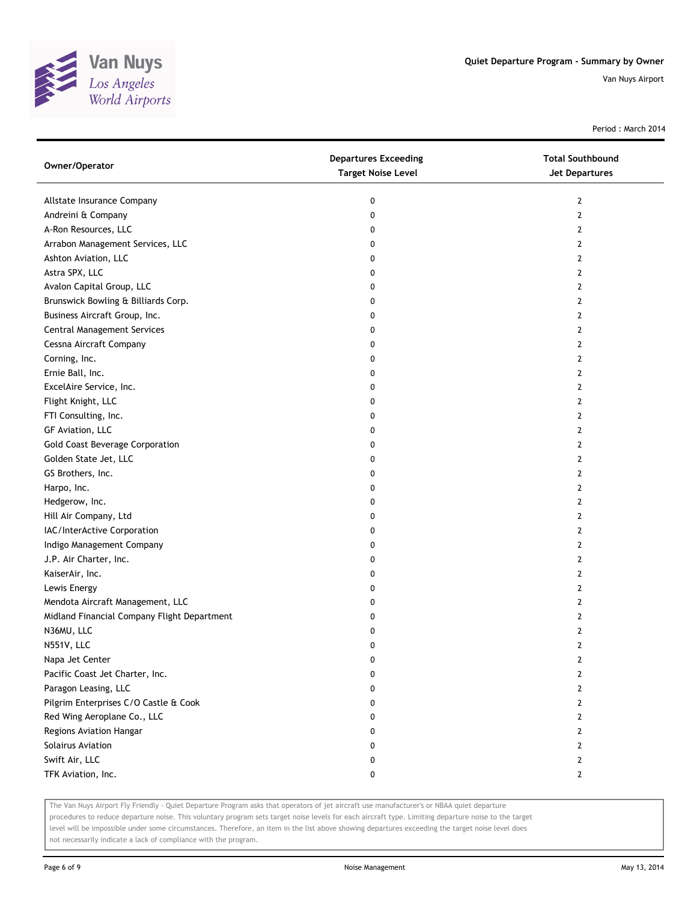

Period : March 2014

| Owner/Operator                              | <b>Departures Exceeding</b><br><b>Target Noise Level</b> | <b>Total Southbound</b><br><b>Jet Departures</b> |
|---------------------------------------------|----------------------------------------------------------|--------------------------------------------------|
| Allstate Insurance Company                  | 0                                                        | 2                                                |
| Andreini & Company                          | 0                                                        | $\mathbf{2}$                                     |
| A-Ron Resources, LLC                        | 0                                                        | 2                                                |
| Arrabon Management Services, LLC            | 0                                                        | 2                                                |
| Ashton Aviation, LLC                        | 0                                                        | 2                                                |
| Astra SPX, LLC                              | 0                                                        | $\overline{2}$                                   |
| Avalon Capital Group, LLC                   | 0                                                        | 2                                                |
| Brunswick Bowling & Billiards Corp.         | 0                                                        | 2                                                |
| Business Aircraft Group, Inc.               | 0                                                        | 2                                                |
| <b>Central Management Services</b>          | 0                                                        | $\overline{2}$                                   |
| Cessna Aircraft Company                     | 0                                                        | 2                                                |
| Corning, Inc.                               | 0                                                        | 2                                                |
| Ernie Ball, Inc.                            | 0                                                        | 2                                                |
| ExcelAire Service, Inc.                     | 0                                                        | 2                                                |
| Flight Knight, LLC                          | 0                                                        | 2                                                |
| FTI Consulting, Inc.                        | 0                                                        | $\overline{2}$                                   |
| GF Aviation, LLC                            | 0                                                        | 2                                                |
| Gold Coast Beverage Corporation             | 0                                                        | 2                                                |
| Golden State Jet, LLC                       | 0                                                        | 2                                                |
| GS Brothers, Inc.                           | 0                                                        | 2                                                |
| Harpo, Inc.                                 | 0                                                        | 2                                                |
| Hedgerow, Inc.                              | 0                                                        | 2                                                |
| Hill Air Company, Ltd                       | 0                                                        | 2                                                |
| IAC/InterActive Corporation                 | 0                                                        | 2                                                |
| Indigo Management Company                   | 0                                                        | 2                                                |
| J.P. Air Charter, Inc.                      | 0                                                        | 2                                                |
| KaiserAir, Inc.                             | 0                                                        | 2                                                |
| Lewis Energy                                | 0                                                        | 2                                                |
| Mendota Aircraft Management, LLC            | 0                                                        | 2                                                |
| Midland Financial Company Flight Department | 0                                                        | $\overline{2}$                                   |
| N36MU, LLC                                  | 0                                                        | 2                                                |
| N551V, LLC                                  | 0                                                        | $\overline{2}$                                   |
| Napa Jet Center                             | 0                                                        | 2                                                |
| Pacific Coast Jet Charter, Inc.             | 0                                                        | 2                                                |
| Paragon Leasing, LLC                        | 0                                                        | 2                                                |
| Pilgrim Enterprises C/O Castle & Cook       | 0                                                        | 2                                                |
| Red Wing Aeroplane Co., LLC                 | 0                                                        | 2                                                |
| Regions Aviation Hangar                     | 0                                                        | 2                                                |
| Solairus Aviation                           | 0                                                        | 2                                                |
| Swift Air, LLC                              | 0                                                        | $\mathbf{2}$                                     |
| TFK Aviation, Inc.                          | 0                                                        | $\mathbf{2}$                                     |

The Van Nuys Airport Fly Friendly - Quiet Departure Program asks that operators of jet aircraft use manufacturer's or NBAA quiet departure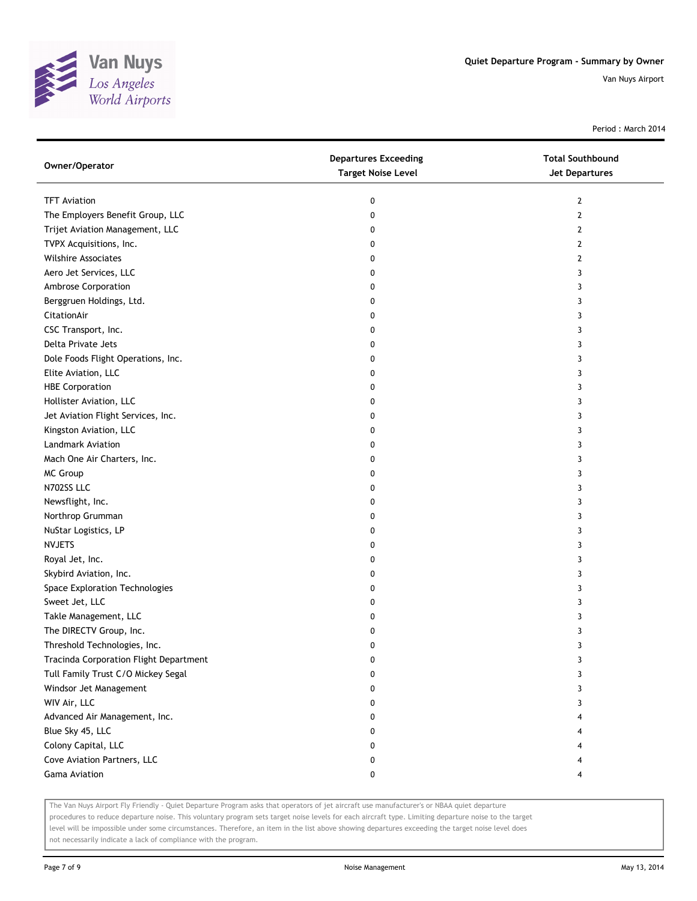![](_page_7_Picture_0.jpeg)

Period : March 2014

| Owner/Operator                         | <b>Departures Exceeding</b><br><b>Target Noise Level</b> | <b>Total Southbound</b><br><b>Jet Departures</b> |
|----------------------------------------|----------------------------------------------------------|--------------------------------------------------|
| <b>TFT Aviation</b>                    | 0                                                        | $\overline{2}$                                   |
| The Employers Benefit Group, LLC       | 0                                                        | $\mathbf{2}$                                     |
| Trijet Aviation Management, LLC        | 0                                                        | $\mathbf{2}$                                     |
| TVPX Acquisitions, Inc.                | 0                                                        | 2                                                |
| <b>Wilshire Associates</b>             | 0                                                        | $\mathbf{2}$                                     |
| Aero Jet Services, LLC                 | 0                                                        | 3                                                |
| Ambrose Corporation                    | 0                                                        | 3                                                |
| Berggruen Holdings, Ltd.               | 0                                                        | 3                                                |
| CitationAir                            | 0                                                        | 3                                                |
| CSC Transport, Inc.                    | 0                                                        | 3                                                |
| Delta Private Jets                     | 0                                                        | 3                                                |
| Dole Foods Flight Operations, Inc.     | 0                                                        | 3                                                |
| Elite Aviation, LLC                    | 0                                                        | 3                                                |
| <b>HBE Corporation</b>                 | 0                                                        | 3                                                |
| Hollister Aviation, LLC                | 0                                                        | 3                                                |
| Jet Aviation Flight Services, Inc.     | 0                                                        | 3                                                |
| Kingston Aviation, LLC                 | 0                                                        | 3                                                |
| Landmark Aviation                      | 0                                                        | 3                                                |
| Mach One Air Charters, Inc.            | 0                                                        | 3                                                |
| <b>MC Group</b>                        | 0                                                        | 3                                                |
| N702SS LLC                             | 0                                                        | 3                                                |
| Newsflight, Inc.                       | 0                                                        | 3                                                |
| Northrop Grumman                       | 0                                                        | 3                                                |
| NuStar Logistics, LP                   | 0                                                        | 3                                                |
| <b>NVJETS</b>                          | 0                                                        | 3                                                |
| Royal Jet, Inc.                        | 0                                                        | 3                                                |
| Skybird Aviation, Inc.                 | 0                                                        | 3                                                |
| Space Exploration Technologies         | 0                                                        | 3                                                |
| Sweet Jet, LLC                         | 0                                                        | 3                                                |
| Takle Management, LLC                  | 0                                                        | 3                                                |
| The DIRECTV Group, Inc.                | 0                                                        | 3                                                |
| Threshold Technologies, Inc.           | 0                                                        | 3                                                |
| Tracinda Corporation Flight Department | 0                                                        | 3                                                |
| Tull Family Trust C/O Mickey Segal     | 0                                                        | 3                                                |
| Windsor Jet Management                 | 0                                                        | 3                                                |
| WIV Air, LLC                           | 0                                                        | 3                                                |
| Advanced Air Management, Inc.          | 0                                                        | 4                                                |
| Blue Sky 45, LLC                       | 0                                                        | 4                                                |
| Colony Capital, LLC                    | 0                                                        | 4                                                |
| Cove Aviation Partners, LLC            | 0                                                        | 4                                                |
| Gama Aviation                          | 0                                                        | 4                                                |

The Van Nuys Airport Fly Friendly - Quiet Departure Program asks that operators of jet aircraft use manufacturer's or NBAA quiet departure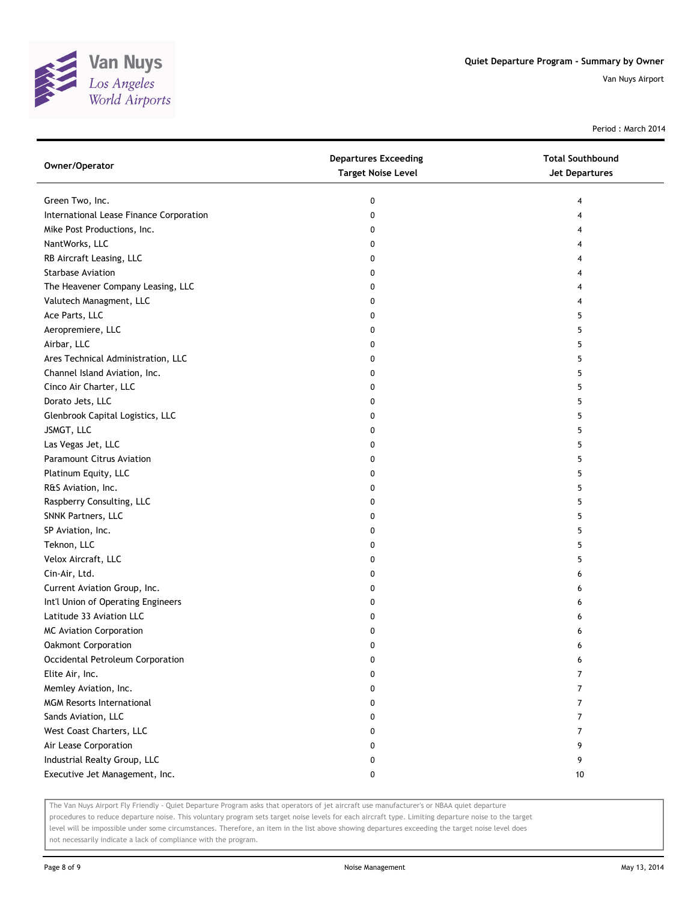![](_page_8_Picture_0.jpeg)

Period : March 2014

| Owner/Operator                          | <b>Departures Exceeding</b><br><b>Target Noise Level</b> | <b>Total Southbound</b><br><b>Jet Departures</b> |
|-----------------------------------------|----------------------------------------------------------|--------------------------------------------------|
| Green Two, Inc.                         | 0                                                        | 4                                                |
| International Lease Finance Corporation | 0                                                        | 4                                                |
| Mike Post Productions, Inc.             | 0                                                        | 4                                                |
| NantWorks, LLC                          | 0                                                        | 4                                                |
| RB Aircraft Leasing, LLC                | 0                                                        | 4                                                |
| <b>Starbase Aviation</b>                | 0                                                        | 4                                                |
| The Heavener Company Leasing, LLC       | 0                                                        | 4                                                |
| Valutech Managment, LLC                 | 0                                                        | 4                                                |
| Ace Parts, LLC                          | 0                                                        | 5                                                |
| Aeropremiere, LLC                       | 0                                                        | 5                                                |
| Airbar, LLC                             | 0                                                        | 5                                                |
| Ares Technical Administration, LLC      | 0                                                        | 5                                                |
| Channel Island Aviation, Inc.           | 0                                                        | 5                                                |
| Cinco Air Charter, LLC                  | 0                                                        | 5                                                |
| Dorato Jets, LLC                        | 0                                                        | 5                                                |
| Glenbrook Capital Logistics, LLC        | 0                                                        | 5                                                |
| JSMGT, LLC                              | 0                                                        | 5                                                |
| Las Vegas Jet, LLC                      | 0                                                        | 5                                                |
| <b>Paramount Citrus Aviation</b>        | 0                                                        | 5                                                |
| Platinum Equity, LLC                    | 0                                                        | 5                                                |
| R&S Aviation, Inc.                      | 0                                                        | 5                                                |
| Raspberry Consulting, LLC               | 0                                                        | 5                                                |
| SNNK Partners, LLC                      | 0                                                        | 5                                                |
| SP Aviation, Inc.                       | 0                                                        | 5                                                |
| Teknon, LLC                             | 0                                                        | 5                                                |
| Velox Aircraft, LLC                     | 0                                                        | 5                                                |
| Cin-Air, Ltd.                           | 0                                                        | 6                                                |
| Current Aviation Group, Inc.            | 0                                                        | 6                                                |
| Int'l Union of Operating Engineers      | 0                                                        | 6                                                |
| Latitude 33 Aviation LLC                | 0                                                        | 6                                                |
| <b>MC Aviation Corporation</b>          | 0                                                        | 6                                                |
| Oakmont Corporation                     | 0                                                        | 6                                                |
| Occidental Petroleum Corporation        | 0                                                        | 6                                                |
| Elite Air, Inc.                         | 0                                                        | 7                                                |
| Memley Aviation, Inc.                   | 0                                                        | 7                                                |
| <b>MGM Resorts International</b>        | 0                                                        | $\overline{7}$                                   |
| Sands Aviation, LLC                     | 0                                                        | 7                                                |
| West Coast Charters, LLC                | 0                                                        | 7                                                |
| Air Lease Corporation                   | 0                                                        | 9                                                |
| Industrial Realty Group, LLC            | 0                                                        | 9                                                |
| Executive Jet Management, Inc.          | 0                                                        | 10                                               |

The Van Nuys Airport Fly Friendly - Quiet Departure Program asks that operators of jet aircraft use manufacturer's or NBAA quiet departure